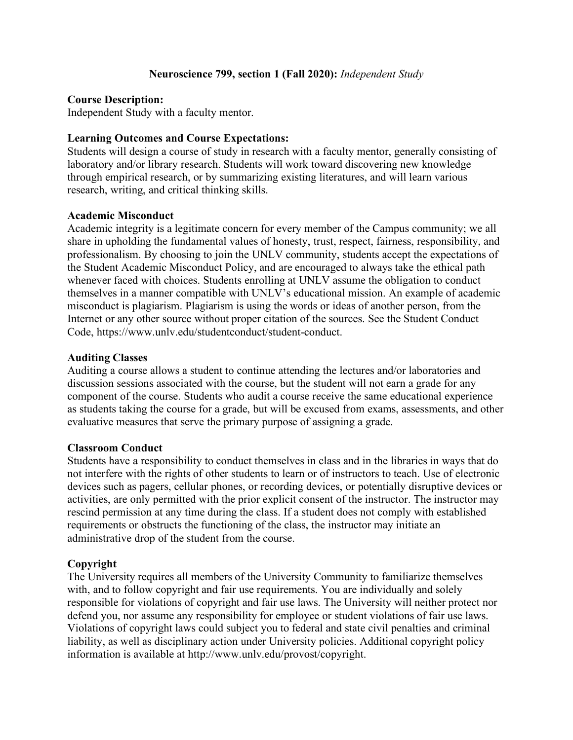### **Neuroscience 799, section 1 (Fall 2020):** *Independent Study*

### **Course Description:**

Independent Study with a faculty mentor.

### **Learning Outcomes and Course Expectations:**

Students will design a course of study in research with a faculty mentor, generally consisting of laboratory and/or library research. Students will work toward discovering new knowledge through empirical research, or by summarizing existing literatures, and will learn various research, writing, and critical thinking skills.

# **Academic Misconduct**

Academic integrity is a legitimate concern for every member of the Campus community; we all share in upholding the fundamental values of honesty, trust, respect, fairness, responsibility, and professionalism. By choosing to join the UNLV community, students accept the expectations of the Student Academic Misconduct Policy, and are encouraged to always take the ethical path whenever faced with choices. Students enrolling at UNLV assume the obligation to conduct themselves in a manner compatible with UNLV's educational mission. An example of academic misconduct is plagiarism. Plagiarism is using the words or ideas of another person, from the Internet or any other source without proper citation of the sources. See the Student Conduct Code, https://www.unlv.edu/studentconduct/student-conduct.

### **Auditing Classes**

Auditing a course allows a student to continue attending the lectures and/or laboratories and discussion sessions associated with the course, but the student will not earn a grade for any component of the course. Students who audit a course receive the same educational experience as students taking the course for a grade, but will be excused from exams, assessments, and other evaluative measures that serve the primary purpose of assigning a grade.

### **Classroom Conduct**

Students have a responsibility to conduct themselves in class and in the libraries in ways that do not interfere with the rights of other students to learn or of instructors to teach. Use of electronic devices such as pagers, cellular phones, or recording devices, or potentially disruptive devices or activities, are only permitted with the prior explicit consent of the instructor. The instructor may rescind permission at any time during the class. If a student does not comply with established requirements or obstructs the functioning of the class, the instructor may initiate an administrative drop of the student from the course.

### **Copyright**

The University requires all members of the University Community to familiarize themselves with, and to follow copyright and fair use requirements. You are individually and solely responsible for violations of copyright and fair use laws. The University will neither protect nor defend you, nor assume any responsibility for employee or student violations of fair use laws. Violations of copyright laws could subject you to federal and state civil penalties and criminal liability, as well as disciplinary action under University policies. Additional copyright policy information is available at http://www.unlv.edu/provost/copyright.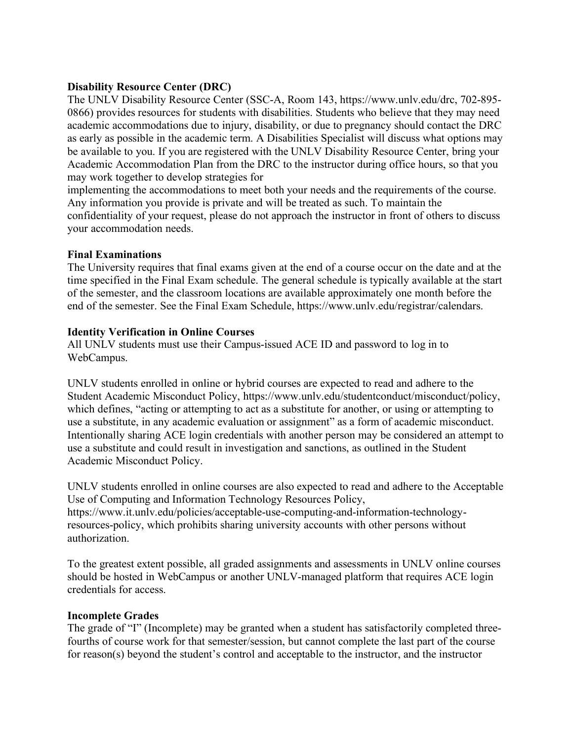# **Disability Resource Center (DRC)**

The UNLV Disability Resource Center (SSC-A, Room 143, https://www.unlv.edu/drc, 702-895- 0866) provides resources for students with disabilities. Students who believe that they may need academic accommodations due to injury, disability, or due to pregnancy should contact the DRC as early as possible in the academic term. A Disabilities Specialist will discuss what options may be available to you. If you are registered with the UNLV Disability Resource Center, bring your Academic Accommodation Plan from the DRC to the instructor during office hours, so that you may work together to develop strategies for

implementing the accommodations to meet both your needs and the requirements of the course. Any information you provide is private and will be treated as such. To maintain the confidentiality of your request, please do not approach the instructor in front of others to discuss your accommodation needs.

## **Final Examinations**

The University requires that final exams given at the end of a course occur on the date and at the time specified in the Final Exam schedule. The general schedule is typically available at the start of the semester, and the classroom locations are available approximately one month before the end of the semester. See the Final Exam Schedule, https://www.unlv.edu/registrar/calendars.

## **Identity Verification in Online Courses**

All UNLV students must use their Campus-issued ACE ID and password to log in to WebCampus.

UNLV students enrolled in online or hybrid courses are expected to read and adhere to the Student Academic Misconduct Policy, https://www.unlv.edu/studentconduct/misconduct/policy, which defines, "acting or attempting to act as a substitute for another, or using or attempting to use a substitute, in any academic evaluation or assignment" as a form of academic misconduct. Intentionally sharing ACE login credentials with another person may be considered an attempt to use a substitute and could result in investigation and sanctions, as outlined in the Student Academic Misconduct Policy.

UNLV students enrolled in online courses are also expected to read and adhere to the Acceptable Use of Computing and Information Technology Resources Policy, https://www.it.unlv.edu/policies/acceptable-use-computing-and-information-technologyresources-policy, which prohibits sharing university accounts with other persons without authorization.

To the greatest extent possible, all graded assignments and assessments in UNLV online courses should be hosted in WebCampus or another UNLV-managed platform that requires ACE login credentials for access.

### **Incomplete Grades**

The grade of "I" (Incomplete) may be granted when a student has satisfactorily completed threefourths of course work for that semester/session, but cannot complete the last part of the course for reason(s) beyond the student's control and acceptable to the instructor, and the instructor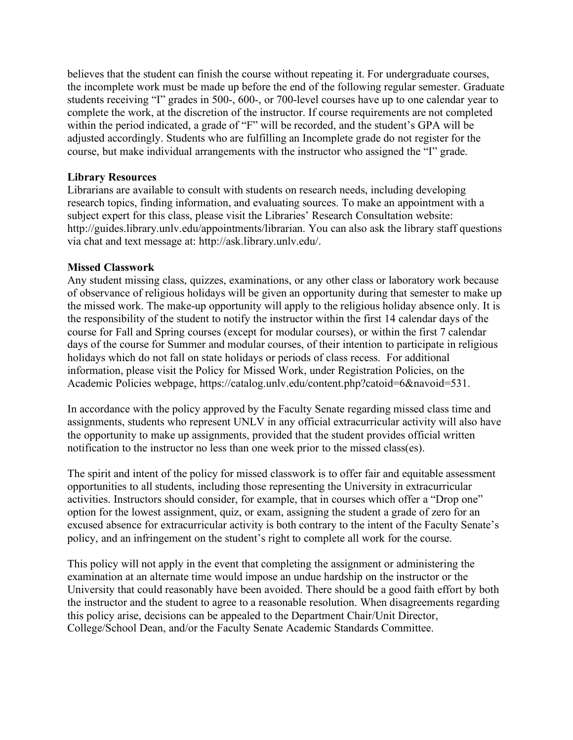believes that the student can finish the course without repeating it. For undergraduate courses, the incomplete work must be made up before the end of the following regular semester. Graduate students receiving "I" grades in 500-, 600-, or 700-level courses have up to one calendar year to complete the work, at the discretion of the instructor. If course requirements are not completed within the period indicated, a grade of "F" will be recorded, and the student's GPA will be adjusted accordingly. Students who are fulfilling an Incomplete grade do not register for the course, but make individual arrangements with the instructor who assigned the "I" grade.

### **Library Resources**

Librarians are available to consult with students on research needs, including developing research topics, finding information, and evaluating sources. To make an appointment with a subject expert for this class, please visit the Libraries' Research Consultation website: http://guides.library.unlv.edu/appointments/librarian. You can also ask the library staff questions via chat and text message at: http://ask.library.unlv.edu/.

### **Missed Classwork**

Any student missing class, quizzes, examinations, or any other class or laboratory work because of observance of religious holidays will be given an opportunity during that semester to make up the missed work. The make-up opportunity will apply to the religious holiday absence only. It is the responsibility of the student to notify the instructor within the first 14 calendar days of the course for Fall and Spring courses (except for modular courses), or within the first 7 calendar days of the course for Summer and modular courses, of their intention to participate in religious holidays which do not fall on state holidays or periods of class recess. For additional information, please visit the Policy for Missed Work, under Registration Policies, on the Academic Policies webpage, https://catalog.unlv.edu/content.php?catoid=6&navoid=531.

In accordance with the policy approved by the Faculty Senate regarding missed class time and assignments, students who represent UNLV in any official extracurricular activity will also have the opportunity to make up assignments, provided that the student provides official written notification to the instructor no less than one week prior to the missed class(es).

The spirit and intent of the policy for missed classwork is to offer fair and equitable assessment opportunities to all students, including those representing the University in extracurricular activities. Instructors should consider, for example, that in courses which offer a "Drop one" option for the lowest assignment, quiz, or exam, assigning the student a grade of zero for an excused absence for extracurricular activity is both contrary to the intent of the Faculty Senate's policy, and an infringement on the student's right to complete all work for the course.

This policy will not apply in the event that completing the assignment or administering the examination at an alternate time would impose an undue hardship on the instructor or the University that could reasonably have been avoided. There should be a good faith effort by both the instructor and the student to agree to a reasonable resolution. When disagreements regarding this policy arise, decisions can be appealed to the Department Chair/Unit Director, College/School Dean, and/or the Faculty Senate Academic Standards Committee.